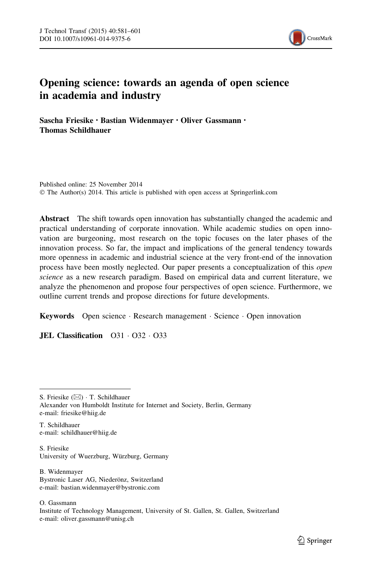

# Opening science: towards an agenda of open science in academia and industry

Sascha Friesike • Bastian Widenmayer • Oliver Gassmann • Thomas Schildhauer

Published online: 25 November 2014 © The Author(s) 2014. This article is published with open access at Springerlink.com

Abstract The shift towards open innovation has substantially changed the academic and practical understanding of corporate innovation. While academic studies on open innovation are burgeoning, most research on the topic focuses on the later phases of the innovation process. So far, the impact and implications of the general tendency towards more openness in academic and industrial science at the very front-end of the innovation process have been mostly neglected. Our paper presents a conceptualization of this open science as a new research paradigm. Based on empirical data and current literature, we analyze the phenomenon and propose four perspectives of open science. Furthermore, we outline current trends and propose directions for future developments.

Keywords Open science · Research management · Science · Open innovation

**JEL Classification**  $O31 \cdot O32 \cdot O33$ 

T. Schildhauer e-mail: schildhauer@hiig.de

S. Friesike University of Wuerzburg, Würzburg, Germany

B. Widenmayer Bystronic Laser AG, Niederönz, Switzerland e-mail: bastian.widenmayer@bystronic.com

O. Gassmann Institute of Technology Management, University of St. Gallen, St. Gallen, Switzerland e-mail: oliver.gassmann@unisg.ch

S. Friesike (&) - T. Schildhauer Alexander von Humboldt Institute for Internet and Society, Berlin, Germany e-mail: friesike@hiig.de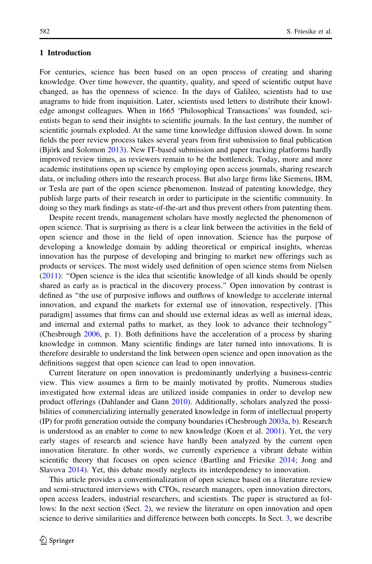#### 1 Introduction

For centuries, science has been based on an open process of creating and sharing knowledge. Over time however, the quantity, quality, and speed of scientific output have changed, as has the openness of science. In the days of Galileo, scientists had to use anagrams to hide from inquisition. Later, scientists used letters to distribute their knowledge amongst colleagues. When in 1665 'Philosophical Transactions' was founded, scientists began to send their insights to scientific journals. In the last century, the number of scientific journals exploded. At the same time knowledge diffusion slowed down. In some fields the peer review process takes several years from first submission to final publication (Björk and Solomon [2013\)](#page-18-0). New IT-based submission and paper tracking platforms hardly improved review times, as reviewers remain to be the bottleneck. Today, more and more academic institutions open up science by employing open access journals, sharing research data, or including others into the research process. But also large firms like Siemens, IBM, or Tesla are part of the open science phenomenon. Instead of patenting knowledge, they publish large parts of their research in order to participate in the scientific community. In doing so they mark findings as state-of-the-art and thus prevent others from patenting them.

Despite recent trends, management scholars have mostly neglected the phenomenon of open science. That is surprising as there is a clear link between the activities in the field of open science and those in the field of open innovation. Science has the purpose of developing a knowledge domain by adding theoretical or empirical insights, whereas innovation has the purpose of developing and bringing to market new offerings such as products or services. The most widely used definition of open science stems from Nielsen ([2011\)](#page-19-0): ''Open science is the idea that scientific knowledge of all kinds should be openly shared as early as is practical in the discovery process.'' Open innovation by contrast is defined as ''the use of purposive inflows and outflows of knowledge to accelerate internal innovation, and expand the markets for external use of innovation, respectively. [This paradigm] assumes that firms can and should use external ideas as well as internal ideas, and internal and external paths to market, as they look to advance their technology'' (Chesbrough [2006](#page-18-0), p. 1). Both definitions have the acceleration of a process by sharing knowledge in common. Many scientific findings are later turned into innovations. It is therefore desirable to understand the link between open science and open innovation as the definitions suggest that open science can lead to open innovation.

Current literature on open innovation is predominantly underlying a business-centric view. This view assumes a firm to be mainly motivated by profits. Numerous studies investigated how external ideas are utilized inside companies in order to develop new product offerings (Dahlander and Gann [2010\)](#page-18-0). Additionally, scholars analyzed the possibilities of commercializing internally generated knowledge in form of intellectual property (IP) for profit generation outside the company boundaries (Chesbrough [2003a,](#page-18-0) [b](#page-18-0)). Research is understood as an enabler to come to new knowledge (Koen et al. [2001\)](#page-19-0). Yet, the very early stages of research and science have hardly been analyzed by the current open innovation literature. In other words, we currently experience a vibrant debate within scientific theory that focuses on open science (Bartling and Friesike [2014;](#page-18-0) Jong and Slavova [2014](#page-19-0)). Yet, this debate mostly neglects its interdependency to innovation.

This article provides a conventionalization of open science based on a literature review and semi-structured interviews with CTOs, research managers, open innovation directors, open access leaders, industrial researchers, and scientists. The paper is structured as follows: In the next section (Sect. [2](#page-2-0)), we review the literature on open innovation and open science to derive similarities and difference between both concepts. In Sect. [3,](#page-6-0) we describe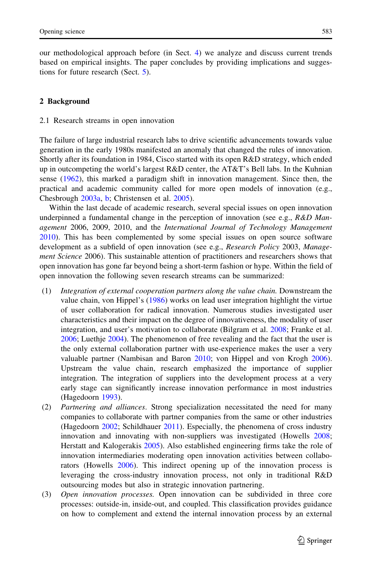<span id="page-2-0"></span>our methodological approach before (in Sect. [4\)](#page-12-0) we analyze and discuss current trends based on empirical insights. The paper concludes by providing implications and suggestions for future research (Sect. [5\)](#page-15-0).

### 2 Background

2.1 Research streams in open innovation

The failure of large industrial research labs to drive scientific advancements towards value generation in the early 1980s manifested an anomaly that changed the rules of innovation. Shortly after its foundation in 1984, Cisco started with its open R&D strategy, which ended up in outcompeting the world's largest  $R&D$  center, the AT $&T$ 's Bell labs. In the Kuhnian sense [\(1962](#page-19-0)), this marked a paradigm shift in innovation management. Since then, the practical and academic community called for more open models of innovation (e.g., Chesbrough [2003a,](#page-18-0) [b](#page-18-0); Christensen et al. [2005](#page-18-0)).

Within the last decade of academic research, several special issues on open innovation underpinned a fundamental change in the perception of innovation (see e.g.,  $R\&D$  Management 2006, 2009, 2010, and the International Journal of Technology Management [2010\)](#page-18-0). This has been complemented by some special issues on open source software development as a subfield of open innovation (see e.g., Research Policy 2003, Management Science 2006). This sustainable attention of practitioners and researchers shows that open innovation has gone far beyond being a short-term fashion or hype. Within the field of open innovation the following seven research streams can be summarized:

- (1) Integration of external cooperation partners along the value chain. Downstream the value chain, von Hippel's ([1986\)](#page-20-0) works on lead user integration highlight the virtue of user collaboration for radical innovation. Numerous studies investigated user characteristics and their impact on the degree of innovativeness, the modality of user integration, and user's motivation to collaborate (Bilgram et al. [2008;](#page-18-0) Franke et al. [2006;](#page-18-0) Luethje [2004\)](#page-19-0). The phenomenon of free revealing and the fact that the user is the only external collaboration partner with use-experience makes the user a very valuable partner (Nambisan and Baron [2010;](#page-19-0) von Hippel and von Krogh [2006](#page-20-0)). Upstream the value chain, research emphasized the importance of supplier integration. The integration of suppliers into the development process at a very early stage can significantly increase innovation performance in most industries (Hagedoorn [1993](#page-19-0)).
- (2) Partnering and alliances. Strong specialization necessitated the need for many companies to collaborate with partner companies from the same or other industries (Hagedoorn [2002](#page-19-0); Schildhauer [2011](#page-20-0)). Especially, the phenomena of cross industry innovation and innovating with non-suppliers was investigated (Howells [2008;](#page-19-0) Herstatt and Kalogerakis [2005](#page-19-0)). Also established engineering firms take the role of innovation intermediaries moderating open innovation activities between collabo-rators (Howells [2006\)](#page-19-0). This indirect opening up of the innovation process is leveraging the cross-industry innovation process, not only in traditional R&D outsourcing modes but also in strategic innovation partnering.
- (3) Open innovation processes. Open innovation can be subdivided in three core processes: outside-in, inside-out, and coupled. This classification provides guidance on how to complement and extend the internal innovation process by an external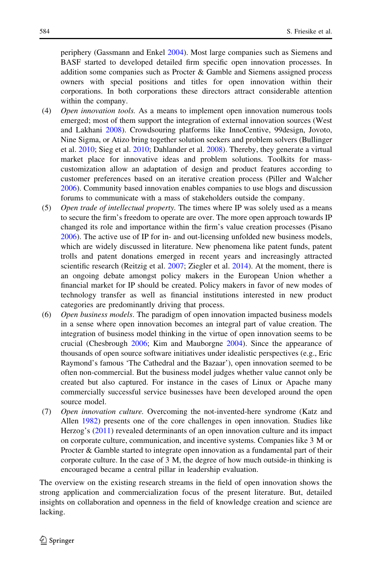periphery (Gassmann and Enkel [2004\)](#page-18-0). Most large companies such as Siemens and BASF started to developed detailed firm specific open innovation processes. In addition some companies such as Procter  $&$  Gamble and Siemens assigned process owners with special positions and titles for open innovation within their corporations. In both corporations these directors attract considerable attention within the company.

- (4) Open innovation tools. As a means to implement open innovation numerous tools emerged; most of them support the integration of external innovation sources (West and Lakhani [2008\)](#page-20-0). Crowdsouring platforms like InnoCentive, 99design, Jovoto, Nine Sigma, or Atizo bring together solution seekers and problem solvers (Bullinger et al. [2010;](#page-18-0) Sieg et al. [2010](#page-20-0); Dahlander et al. [2008](#page-18-0)). Thereby, they generate a virtual market place for innovative ideas and problem solutions. Toolkits for masscustomization allow an adaptation of design and product features according to customer preferences based on an iterative creation process (Piller and Walcher [2006\)](#page-20-0). Community based innovation enables companies to use blogs and discussion forums to communicate with a mass of stakeholders outside the company.
- (5) Open trade of intellectual property. The times where IP was solely used as a means to secure the firm's freedom to operate are over. The more open approach towards IP changed its role and importance within the firm's value creation processes (Pisano [2006\)](#page-20-0). The active use of IP for in- and out-licensing unfolded new business models, which are widely discussed in literature. New phenomena like patent funds, patent trolls and patent donations emerged in recent years and increasingly attracted scientific research (Reitzig et al.  $2007$ ; Ziegler et al.  $2014$ ). At the moment, there is an ongoing debate amongst policy makers in the European Union whether a financial market for IP should be created. Policy makers in favor of new modes of technology transfer as well as financial institutions interested in new product categories are predominantly driving that process.
- (6) Open business models. The paradigm of open innovation impacted business models in a sense where open innovation becomes an integral part of value creation. The integration of business model thinking in the virtue of open innovation seems to be crucial (Chesbrough [2006;](#page-18-0) Kim and Mauborgne [2004\)](#page-19-0). Since the appearance of thousands of open source software initiatives under idealistic perspectives (e.g., Eric Raymond's famous 'The Cathedral and the Bazaar'), open innovation seemed to be often non-commercial. But the business model judges whether value cannot only be created but also captured. For instance in the cases of Linux or Apache many commercially successful service businesses have been developed around the open source model.
- (7) Open innovation culture. Overcoming the not-invented-here syndrome (Katz and Allen [1982\)](#page-19-0) presents one of the core challenges in open innovation. Studies like Herzog's [\(2011](#page-19-0)) revealed determinants of an open innovation culture and its impact on corporate culture, communication, and incentive systems. Companies like 3 M or Procter & Gamble started to integrate open innovation as a fundamental part of their corporate culture. In the case of 3 M, the degree of how much outside-in thinking is encouraged became a central pillar in leadership evaluation.

The overview on the existing research streams in the field of open innovation shows the strong application and commercialization focus of the present literature. But, detailed insights on collaboration and openness in the field of knowledge creation and science are lacking.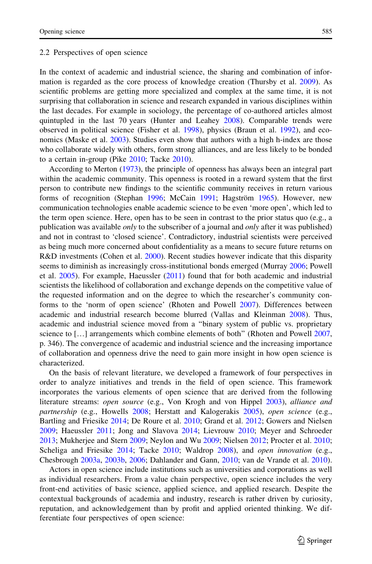#### 2.2 Perspectives of open science

In the context of academic and industrial science, the sharing and combination of information is regarded as the core process of knowledge creation (Thursby et al. [2009](#page-20-0)). As scientific problems are getting more specialized and complex at the same time, it is not surprising that collaboration in science and research expanded in various disciplines within the last decades. For example in sociology, the percentage of co-authored articles almost quintupled in the last 70 years (Hunter and Leahey [2008\)](#page-19-0). Comparable trends were observed in political science (Fisher et al. [1998\)](#page-18-0), physics (Braun et al. [1992\)](#page-18-0), and economics (Maske et al. [2003](#page-19-0)). Studies even show that authors with a high h-index are those who collaborate widely with others, form strong alliances, and are less likely to be bonded to a certain in-group (Pike [2010;](#page-20-0) Tacke [2010\)](#page-20-0).

According to Merton [\(1973](#page-19-0)), the principle of openness has always been an integral part within the academic community. This openness is rooted in a reward system that the first person to contribute new findings to the scientific community receives in return various forms of recognition (Stephan [1996;](#page-20-0) McCain [1991](#page-19-0); Hagström [1965](#page-19-0)). However, new communication technologies enable academic science to be even 'more open', which led to the term open science. Here, open has to be seen in contrast to the prior status quo (e.g., a publication was available *only* to the subscriber of a journal and *only* after it was published) and not in contrast to 'closed science'. Contradictory, industrial scientists were perceived as being much more concerned about confidentiality as a means to secure future returns on R&D investments (Cohen et al. [2000](#page-18-0)). Recent studies however indicate that this disparity seems to diminish as increasingly cross-institutional bonds emerged (Murray [2006](#page-19-0); Powell et al. [2005\)](#page-20-0). For example, Haeussler [\(2011](#page-19-0)) found that for both academic and industrial scientists the likelihood of collaboration and exchange depends on the competitive value of the requested information and on the degree to which the researcher's community conforms to the 'norm of open science' (Rhoten and Powell [2007](#page-20-0)). Differences between academic and industrial research become blurred (Vallas and Kleinman [2008](#page-20-0)). Thus, academic and industrial science moved from a ''binary system of public vs. proprietary science to […] arrangements which combine elements of both'' (Rhoten and Powell [2007](#page-20-0), p. 346). The convergence of academic and industrial science and the increasing importance of collaboration and openness drive the need to gain more insight in how open science is characterized.

On the basis of relevant literature, we developed a framework of four perspectives in order to analyze initiatives and trends in the field of open science. This framework incorporates the various elements of open science that are derived from the following literature streams: open source (e.g., Von Krogh and von Hippel [2003](#page-20-0)), alliance and partnership (e.g., Howells [2008;](#page-19-0) Herstatt and Kalogerakis [2005\)](#page-19-0), open science (e.g., Bartling and Friesike [2014;](#page-18-0) De Roure et al. [2010](#page-18-0); Grand et al. [2012](#page-19-0); Gowers and Nielsen [2009;](#page-18-0) Haeussler [2011](#page-19-0); Jong and Slavova [2014;](#page-19-0) Lievrouw [2010](#page-19-0); Meyer and Schroeder [2013;](#page-19-0) Mukherjee and Stern [2009](#page-19-0); Neylon and Wu [2009](#page-19-0); Nielsen [2012;](#page-19-0) Procter et al. [2010;](#page-20-0) Scheliga and Friesike [2014](#page-20-0); Tacke [2010;](#page-20-0) Waldrop [2008\)](#page-20-0), and *open innovation* (e.g., Chesbrough [2003a,](#page-18-0) [2003b,](#page-18-0) [2006;](#page-18-0) Dahlander and Gann, [2010](#page-18-0); van de Vrande et al. [2010](#page-20-0)).

Actors in open science include institutions such as universities and corporations as well as individual researchers. From a value chain perspective, open science includes the very front-end activities of basic science, applied science, and applied research. Despite the contextual backgrounds of academia and industry, research is rather driven by curiosity, reputation, and acknowledgement than by profit and applied oriented thinking. We differentiate four perspectives of open science: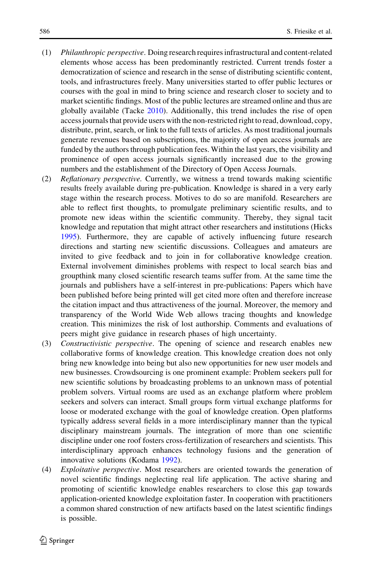- (1) Philanthropic perspective. Doing research requires infrastructural and content-related elements whose access has been predominantly restricted. Current trends foster a democratization of science and research in the sense of distributing scientific content, tools, and infrastructures freely. Many universities started to offer public lectures or courses with the goal in mind to bring science and research closer to society and to market scientific findings. Most of the public lectures are streamed online and thus are globally available (Tacke [2010\)](#page-20-0). Additionally, this trend includes the rise of open access journals that provide users with the non-restricted right to read, download, copy, distribute, print, search, or link to the full texts of articles. As most traditional journals generate revenues based on subscriptions, the majority of open access journals are funded by the authors through publication fees. Within the last years, the visibility and prominence of open access journals significantly increased due to the growing numbers and the establishment of the Directory of Open Access Journals.
- (2) Reflationary perspective. Currently, we witness a trend towards making scientific results freely available during pre-publication. Knowledge is shared in a very early stage within the research process. Motives to do so are manifold. Researchers are able to reflect first thoughts, to promulgate preliminary scientific results, and to promote new ideas within the scientific community. Thereby, they signal tacit knowledge and reputation that might attract other researchers and institutions (Hicks [1995\)](#page-19-0). Furthermore, they are capable of actively influencing future research directions and starting new scientific discussions. Colleagues and amateurs are invited to give feedback and to join in for collaborative knowledge creation. External involvement diminishes problems with respect to local search bias and groupthink many closed scientific research teams suffer from. At the same time the journals and publishers have a self-interest in pre-publications: Papers which have been published before being printed will get cited more often and therefore increase the citation impact and thus attractiveness of the journal. Moreover, the memory and transparency of the World Wide Web allows tracing thoughts and knowledge creation. This minimizes the risk of lost authorship. Comments and evaluations of peers might give guidance in research phases of high uncertainty.
- (3) Constructivistic perspective. The opening of science and research enables new collaborative forms of knowledge creation. This knowledge creation does not only bring new knowledge into being but also new opportunities for new user models and new businesses. Crowdsourcing is one prominent example: Problem seekers pull for new scientific solutions by broadcasting problems to an unknown mass of potential problem solvers. Virtual rooms are used as an exchange platform where problem seekers and solvers can interact. Small groups form virtual exchange platforms for loose or moderated exchange with the goal of knowledge creation. Open platforms typically address several fields in a more interdisciplinary manner than the typical disciplinary mainstream journals. The integration of more than one scientific discipline under one roof fosters cross-fertilization of researchers and scientists. This interdisciplinary approach enhances technology fusions and the generation of innovative solutions (Kodama [1992\)](#page-19-0).
- (4) Exploitative perspective. Most researchers are oriented towards the generation of novel scientific findings neglecting real life application. The active sharing and promoting of scientific knowledge enables researchers to close this gap towards application-oriented knowledge exploitation faster. In cooperation with practitioners a common shared construction of new artifacts based on the latest scientific findings is possible.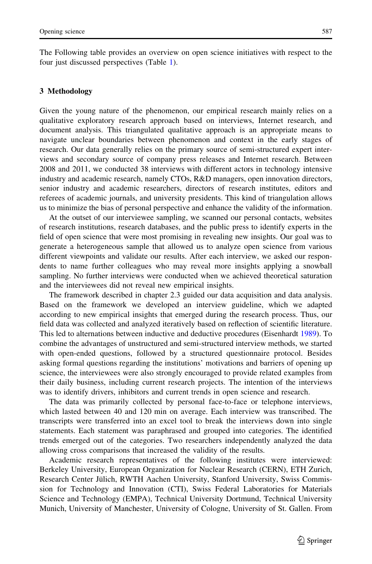<span id="page-6-0"></span>The Following table provides an overview on open science initiatives with respect to the four just discussed perspectives (Table [1\)](#page-7-0).

#### 3 Methodology

Given the young nature of the phenomenon, our empirical research mainly relies on a qualitative exploratory research approach based on interviews, Internet research, and document analysis. This triangulated qualitative approach is an appropriate means to navigate unclear boundaries between phenomenon and context in the early stages of research. Our data generally relies on the primary source of semi-structured expert interviews and secondary source of company press releases and Internet research. Between 2008 and 2011, we conducted 38 interviews with different actors in technology intensive industry and academic research, namely CTOs, R&D managers, open innovation directors, senior industry and academic researchers, directors of research institutes, editors and referees of academic journals, and university presidents. This kind of triangulation allows us to minimize the bias of personal perspective and enhance the validity of the information.

At the outset of our interviewee sampling, we scanned our personal contacts, websites of research institutions, research databases, and the public press to identify experts in the field of open science that were most promising in revealing new insights. Our goal was to generate a heterogeneous sample that allowed us to analyze open science from various different viewpoints and validate our results. After each interview, we asked our respondents to name further colleagues who may reveal more insights applying a snowball sampling. No further interviews were conducted when we achieved theoretical saturation and the interviewees did not reveal new empirical insights.

The framework described in chapter 2.3 guided our data acquisition and data analysis. Based on the framework we developed an interview guideline, which we adapted according to new empirical insights that emerged during the research process. Thus, our field data was collected and analyzed iteratively based on reflection of scientific literature. This led to alternations between inductive and deductive procedures (Eisenhardt [1989](#page-18-0)). To combine the advantages of unstructured and semi-structured interview methods, we started with open-ended questions, followed by a structured questionnaire protocol. Besides asking formal questions regarding the institutions' motivations and barriers of opening up science, the interviewees were also strongly encouraged to provide related examples from their daily business, including current research projects. The intention of the interviews was to identify drivers, inhibitors and current trends in open science and research.

The data was primarily collected by personal face-to-face or telephone interviews, which lasted between 40 and 120 min on average. Each interview was transcribed. The transcripts were transferred into an excel tool to break the interviews down into single statements. Each statement was paraphrased and grouped into categories. The identified trends emerged out of the categories. Two researchers independently analyzed the data allowing cross comparisons that increased the validity of the results.

Academic research representatives of the following institutes were interviewed: Berkeley University, European Organization for Nuclear Research (CERN), ETH Zurich, Research Center Jülich, RWTH Aachen University, Stanford University, Swiss Commission for Technology and Innovation (CTI), Swiss Federal Laboratories for Materials Science and Technology (EMPA), Technical University Dortmund, Technical University Munich, University of Manchester, University of Cologne, University of St. Gallen. From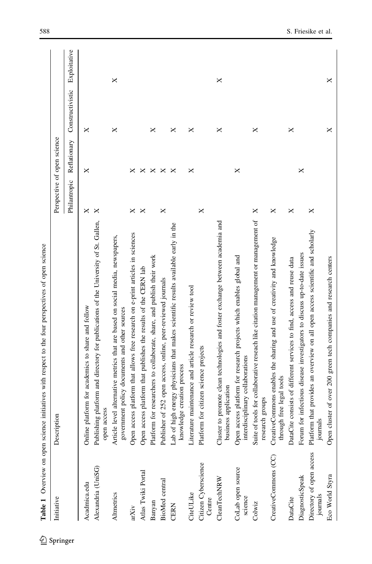| くりなくさく なくなる そく こくこうくくりょう<br>i<br>l                               |  |
|------------------------------------------------------------------|--|
| ı                                                                |  |
|                                                                  |  |
|                                                                  |  |
| l                                                                |  |
|                                                                  |  |
| roomname on anon conomo initiativa untia room.<br>$\overline{a}$ |  |
|                                                                  |  |
|                                                                  |  |
|                                                                  |  |
|                                                                  |  |
| ֕                                                                |  |
| inle<br>j<br>l<br>í                                              |  |

<span id="page-7-0"></span>

| Initiative                           | Description                                                                                                                    |              | Perspective of open science |                  |              |
|--------------------------------------|--------------------------------------------------------------------------------------------------------------------------------|--------------|-----------------------------|------------------|--------------|
|                                      |                                                                                                                                | Philantropic | Reflationary                | Constructivistic | Exploitative |
| Acadmica.edu                         | Online platform for academics to share and follow                                                                              | ×            | ×                           | ×                |              |
| Alexandria (UniSG)                   | Publishing platform and directory for publications of the University of St. Gallen,<br>open access                             | ×            |                             |                  |              |
| <b>Altmetrics</b>                    | Article level alternative metrics that are based on social media, newspapers,<br>government policy documents and other sources |              |                             | ×                | ×            |
| arXiv                                | Open access platform that allows free research on e-print articles in sciences                                                 | ×            | ×                           |                  |              |
| Atlas Twiki Portal                   | Open access platform that publishes the results of the CERN lab                                                                | ×            | ×                           |                  |              |
| Banyan                               | Platform for researchers to collaborate, share, and publish their work                                                         |              | ×                           | ×                |              |
| BioMed central                       | of 252 open access, online, peer-reviewed journals<br>Publisher                                                                | ×            | ×                           |                  |              |
| <b>CERN</b>                          | Lab of high energy physicians that makes scientific results available early in the<br>knowledge creation process               |              | ×                           | ×                |              |
| CiteULike                            | Literature maintenance and article research or review tool                                                                     |              | ×                           | ×                |              |
| Citizen Cyberscience<br>Centre       | Platform for citizen science projects                                                                                          | ×            |                             |                  |              |
| CleanTechNRW                         | Cluster to promote clean technologies and foster exchange between academia and<br>business application                         |              |                             | ×                | ×            |
| CoLab open source<br>science         | Open access platform for research projects which enables global and<br>interdisciplinary collaborations                        |              | ×                           |                  |              |
| Colwiz                               | Suite of tools for collaborative reseach like citation management or management of<br>research groups                          | ×            |                             | ×                |              |
| CreativeCommons (CC)                 | CreativeCommons enables the sharing and use of creativity and knowledge<br>through free legal tools                            | ×            |                             |                  |              |
| DataCite                             | DataCite consists of different services to find, access and reuse data                                                         | ×            |                             | ×                |              |
| DiagnosticSpeak                      | Forum for infectious disease investigators to discuss up-to-date issues                                                        |              | ×                           |                  |              |
| Directory of open access<br>journals | Platform that provides an overview on all open access scientific and scholarly<br>journals                                     | ×            |                             |                  |              |
| Eco World Styra                      | Open cluster of over 200 green tech companies and research centers                                                             |              |                             | ×                | ×            |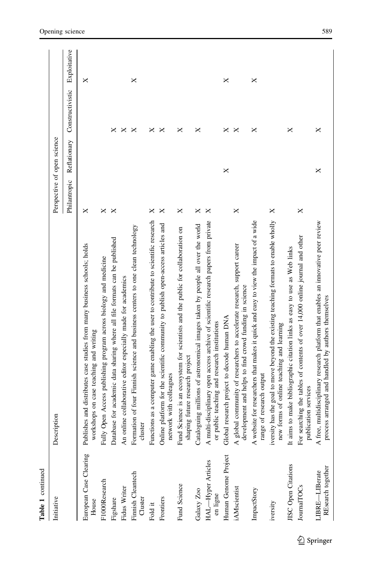| Initiative                          | Description                                                                                                                              |              | Perspective of open science |                  |              |
|-------------------------------------|------------------------------------------------------------------------------------------------------------------------------------------|--------------|-----------------------------|------------------|--------------|
|                                     |                                                                                                                                          | Philantropic | Reflationary                | Constructivistic | Exploitative |
| European Case Clearing<br>House     | Publishes and distributes case studies from many business schools; holds<br>workshops on case teaching and writing                       | ×            |                             |                  | ×            |
| F1000Research                       | Fully Open Access publishing program across biology and medicine                                                                         | ×            |                             |                  |              |
| Figshare                            | Database for academic data sharing where all file formats can be published                                                               | ×            |                             | ×                |              |
| Fidus Writer                        | An online collaborative editor especially made for academics                                                                             |              |                             | ×                |              |
| Finnish Cleantech<br>Cluster        | Formation of four Finnish science and business centers to one clean technology<br>cluster                                                |              |                             | ×                | ×            |
| Fold it                             | Functions as a computer game enabling the user to contribute to scientific research                                                      | ×            |                             | ×                |              |
| Frontiers                           | Online platform for the scientific community to publish open-access articles and<br>network with colleagues                              | ×            |                             | ×                |              |
| Fund Science                        | Fund Science is an ecosystem for scientists and the public for collaboration on<br>shaping future research project                       | ×            |                             | ×                |              |
| Galaxy Zoo                          | Cataloguing millions of astronomical images taken by people all over the world                                                           | ×            |                             | ×                |              |
| HAL-Hyper Articles<br>en ligne      | A multi-disciplinary open access archive of scientific research papers from private<br>or public teaching and research institutions      | ×            |                             |                  |              |
| Human Genome Project                | Global research project to decode human DNA                                                                                              |              | ×                           | ×                | ×            |
| iAMscientist                        | community of researchers to accelerate research, support career<br>development and helps to find crowd funding in science<br>A global    | ×            |                             | ×                |              |
| ImpactStory                         | A website for researchers that makes it quick and easy to view the impact of a wide<br>range of research output                          |              |                             | ×                | ×            |
| iversity                            | iversity has the goal to move beyond the existing teaching formats to enable wholly<br>new forms of online teaching and learning         | ×            |                             |                  |              |
| <b>JISC</b> Open Citations          | It aims to make bibliographic citation links as easy to use as Web links                                                                 |              |                             | ×                |              |
| JournalTOCs                         | For searching the tables of contents of over 14,000 online journal and other<br>publication services                                     | ×            |                             |                  |              |
| REsearch together<br>LIBRE-LIBerate | A free, multidisciplinary research platform that enables an innovative peer review<br>process arranged and handled by authors themselves |              | ×                           | ×                |              |

Table 1 continued

Table 1 continued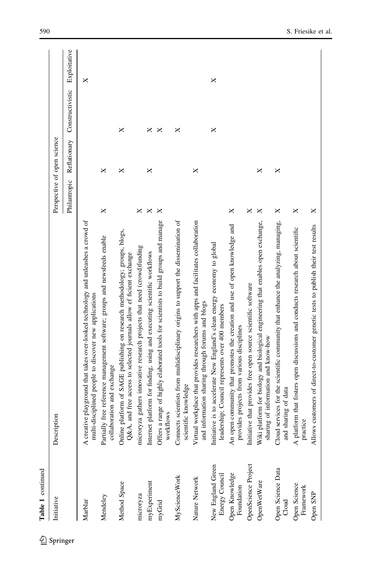| Table 1 continued                   |                                                                                                                                                      |              |                             |                  |              |
|-------------------------------------|------------------------------------------------------------------------------------------------------------------------------------------------------|--------------|-----------------------------|------------------|--------------|
| Initiative                          | Description                                                                                                                                          |              | Perspective of open science |                  |              |
|                                     |                                                                                                                                                      | Philantropic | Reflationary                | Constructivistic | Exploitative |
| Marblar                             | A creative playground that takes over-looked technology and unleashes a crowd of<br>multi-disciplined people to discover new applications            |              |                             |                  | ×            |
| Mendeley                            | free reference management software; groups and newsfeeds enable<br>collaboration and exchange<br>Partially                                           | ×            | ×                           |                  |              |
| Method Space                        | Online platform of SAGE publishing on research methodology; groups, blogs,<br>and free access to selected journals allow ef ficient exchange<br>Q&A, |              | ×                           | ×                |              |
| microryza                           | microryza gathers innovative research projects that need (crowd)funding                                                                              | ×            |                             |                  |              |
| myExperiment                        | Internet platform for finding, using and executing scientific workflows                                                                              | ×            | ×                           | ×                |              |
| myGrid                              | Offers a range of highly elaborated tools for scientists to build groups and manage<br>workflows                                                     | ×            |                             | ×                |              |
| MyScienceWork                       | Connects scientists from multidisciplinary origins to support the dissemination of<br>scientific knowledge                                           |              |                             | ×                |              |
| Nature Network                      | Virtual workplace that provides researchers with apps and facilitates collaboration<br>and information sharing through forums and blogs              |              | ×                           |                  |              |
| New England Green<br>Energy Council | Initiative is to accelerate New England's clean energy economy to global<br>leadership; Council represents over 400 members                          |              |                             | ×                | ×            |
| Open Knowledge<br>Foundation        | community that promotes the creation and use of open knowledge and<br>provides projects from various disciplines<br>An open                          | ×            |                             |                  |              |
| OpenScience Project                 | Initiative that provides free open source scientific software                                                                                        | ×            |                             |                  |              |
| OpenWetWare                         | Wiki platform for biology and biological engineering that enables open exchange,<br>sharing of information and know-how                              | ×            | ×                           |                  |              |
| Open Science Data<br>$_{\rm Cloud}$ | Cloud services for the scientific community that enhance the analyzing, managing,<br>and sharing of data                                             | ×            | ×                           |                  |              |
| Open Science<br>Framework           | A platform that fosters open discussions and conducts research about scientific<br>practice                                                          | ×            |                             |                  |              |
| Open SNP                            | Allows customers of direct-to-customer genetic tests to publish their test results                                                                   | ×            |                             |                  |              |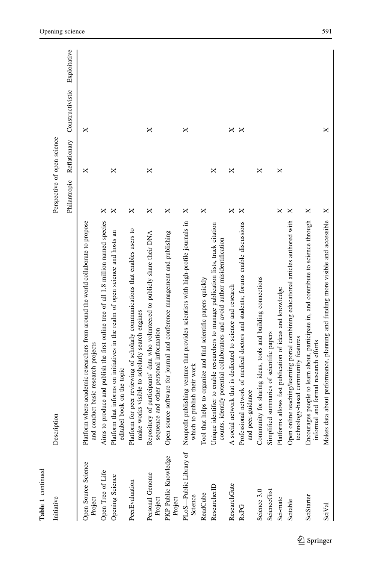| Table 1 continued                 |                                                                                                                                                                       |              |                             |                  |              |
|-----------------------------------|-----------------------------------------------------------------------------------------------------------------------------------------------------------------------|--------------|-----------------------------|------------------|--------------|
| Initiative                        | Description                                                                                                                                                           |              | Perspective of open science |                  |              |
|                                   |                                                                                                                                                                       | Philantropic | Reflationary                | Constructivistic | Exploitative |
| Open Source Science<br>Project    | Platform where academic researchers from around the world collaborate to propose<br>and conduct basic research projects                                               |              | ×                           | ×                |              |
| Open Tree of Life                 | Aims to produce and publish the first online tree of all 1.8 million named species                                                                                    | ×            |                             |                  |              |
| Opening Science                   | Platform that informs on initiatives in the realm of open science and hosts an<br>editabel book on the topic                                                          | ×            | ×                           |                  |              |
| PeerEvaluation                    | Platform for peer reviewing of scholarly communications that enables users to<br>works visible to scholarly search engines<br>make                                    | ×            |                             |                  |              |
| Personal Genome<br>Project        | Repository of participants' data who volunteered to publicly share their DNA<br>sequence and other personal information                                               | ×            | ×                           | ×                |              |
| PKP Public Knowledge<br>Project   | Open source software for journal and conference management and publishing                                                                                             | ×            |                             |                  |              |
| PLoS-Public Library of<br>Science | Nonprofit publishing venture that provides scientists with high-profile journals in<br>which to publish their work                                                    | ×            |                             | ×                |              |
| ReadCube                          | Tool that helps to organize and find scientific papers quickly                                                                                                        | ×            |                             |                  |              |
| ResearcherLD                      | identifier to enable researchers to manage publication lists, track citation<br>counts, identify potential collaborators and avoid author misidentification<br>Unique |              | ×                           |                  |              |
| ResearchGate                      | A social network that is dedicated to science and research                                                                                                            | ×            | ×                           | ×                |              |
| <b>RxPG</b>                       | Professional network of medical doctors and students; forums enable discussions<br>and peer-guidance                                                                  | ×            |                             | ×                |              |
| Science 3.0                       | Community for sharing ideas, tools and building connections                                                                                                           |              | ×                           |                  |              |
| ScienceGist                       | Simplified summaries of scientific papers                                                                                                                             |              |                             |                  |              |
| Sci-mate                          | Platforms allows fast publication of ideas and knowledge                                                                                                              | ×            | ×                           |                  |              |
| Scitable                          | Open online teaching/learning portal combining educational articles authored with<br>technology-based community features                                              | ×            |                             |                  |              |
| SciStarter                        | Encourages people to learn about, participate in, and contribute to science through<br>informal and formal research efforts                                           | ×            |                             |                  |              |
| SciVal                            | data about performance, planning and funding more visible and accessible<br>Makes                                                                                     | ×            |                             | ×                |              |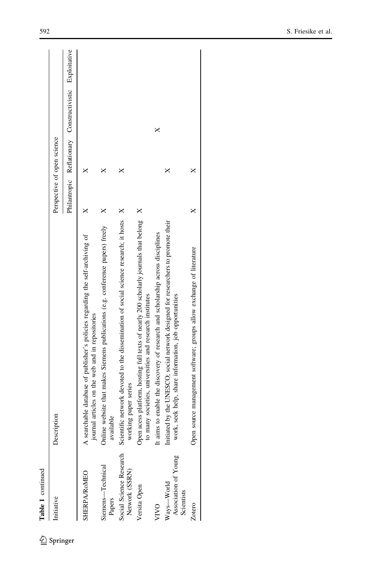| Table 1 continued                                |                                                                                                                                                     |                             |                                                         |  |
|--------------------------------------------------|-----------------------------------------------------------------------------------------------------------------------------------------------------|-----------------------------|---------------------------------------------------------|--|
| Initiative                                       | Description                                                                                                                                         | Perspective of open science |                                                         |  |
|                                                  |                                                                                                                                                     |                             | Philantropic Reflationary Constructivistic Exploitative |  |
| <b>SHERPA/RoMEO</b>                              | A searchable database of publisher's policies regarding the self-archiving of<br>journal articles on the web and in repositories                    |                             |                                                         |  |
| Siemens-Technical<br>Papers                      | Online website that makes Siemens publications (e.g. conference papers) freely<br>available                                                         |                             |                                                         |  |
| Social Science Research<br>Network (SSRN)        | Scientific network devoted to the dissemination of social science research; it hosts X<br>working paper series                                      | ×                           |                                                         |  |
| Versita Open                                     | Open acess platform, hosting full texts of nearly 200 scholarly journals that belong $X$<br>to many societies, universities and research institutes |                             |                                                         |  |
| VIVO                                             | It aims to enable the discovery of research and scholarship across disciplines                                                                      |                             | ×                                                       |  |
| Association of Young<br>Ways-World<br>Scientists | Initiated by the UNESCO; social network designed for researchers to promote their<br>seek help, share information, job opportunities<br>work,       |                             |                                                         |  |
| Zotero                                           | Open source management software; groups allow exchange of literature                                                                                |                             |                                                         |  |
|                                                  |                                                                                                                                                     |                             |                                                         |  |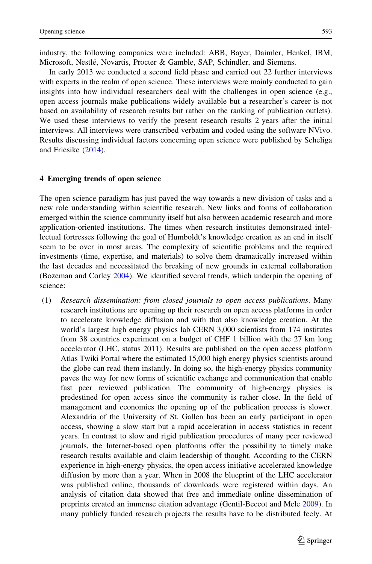<span id="page-12-0"></span>industry, the following companies were included: ABB, Bayer, Daimler, Henkel, IBM, Microsoft, Nestle´, Novartis, Procter & Gamble, SAP, Schindler, and Siemens.

In early 2013 we conducted a second field phase and carried out 22 further interviews with experts in the realm of open science. These interviews were mainly conducted to gain insights into how individual researchers deal with the challenges in open science (e.g., open access journals make publications widely available but a researcher's career is not based on availability of research results but rather on the ranking of publication outlets). We used these interviews to verify the present research results 2 years after the initial interviews. All interviews were transcribed verbatim and coded using the software NVivo. Results discussing individual factors concerning open science were published by Scheliga and Friesike [\(2014](#page-20-0)).

### 4 Emerging trends of open science

The open science paradigm has just paved the way towards a new division of tasks and a new role understanding within scientific research. New links and forms of collaboration emerged within the science community itself but also between academic research and more application-oriented institutions. The times when research institutes demonstrated intellectual fortresses following the goal of Humboldt's knowledge creation as an end in itself seem to be over in most areas. The complexity of scientific problems and the required investments (time, expertise, and materials) to solve them dramatically increased within the last decades and necessitated the breaking of new grounds in external collaboration (Bozeman and Corley [2004\)](#page-18-0). We identified several trends, which underpin the opening of science:

(1) Research dissemination: from closed journals to open access publications. Many research institutions are opening up their research on open access platforms in order to accelerate knowledge diffusion and with that also knowledge creation. At the world's largest high energy physics lab CERN 3,000 scientists from 174 institutes from 38 countries experiment on a budget of CHF 1 billion with the 27 km long accelerator (LHC, status 2011). Results are published on the open access platform Atlas Twiki Portal where the estimated 15,000 high energy physics scientists around the globe can read them instantly. In doing so, the high-energy physics community paves the way for new forms of scientific exchange and communication that enable fast peer reviewed publication. The community of high-energy physics is predestined for open access since the community is rather close. In the field of management and economics the opening up of the publication process is slower. Alexandria of the University of St. Gallen has been an early participant in open access, showing a slow start but a rapid acceleration in access statistics in recent years. In contrast to slow and rigid publication procedures of many peer reviewed journals, the Internet-based open platforms offer the possibility to timely make research results available and claim leadership of thought. According to the CERN experience in high-energy physics, the open access initiative accelerated knowledge diffusion by more than a year. When in 2008 the blueprint of the LHC accelerator was published online, thousands of downloads were registered within days. An analysis of citation data showed that free and immediate online dissemination of preprints created an immense citation advantage (Gentil-Beccot and Mele [2009](#page-18-0)). In many publicly funded research projects the results have to be distributed feely. At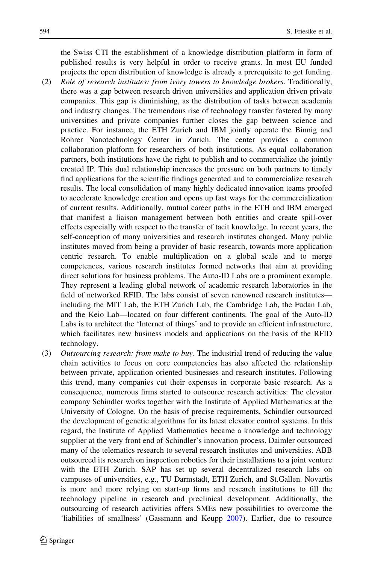the Swiss CTI the establishment of a knowledge distribution platform in form of published results is very helpful in order to receive grants. In most EU funded projects the open distribution of knowledge is already a prerequisite to get funding.

- (2) Role of research institutes: from ivory towers to knowledge brokers. Traditionally, there was a gap between research driven universities and application driven private companies. This gap is diminishing, as the distribution of tasks between academia and industry changes. The tremendous rise of technology transfer fostered by many universities and private companies further closes the gap between science and practice. For instance, the ETH Zurich and IBM jointly operate the Binnig and Rohrer Nanotechnology Center in Zurich. The center provides a common collaboration platform for researchers of both institutions. As equal collaboration partners, both institutions have the right to publish and to commercialize the jointly created IP. This dual relationship increases the pressure on both partners to timely find applications for the scientific findings generated and to commercialize research results. The local consolidation of many highly dedicated innovation teams proofed to accelerate knowledge creation and opens up fast ways for the commercialization of current results. Additionally, mutual career paths in the ETH and IBM emerged that manifest a liaison management between both entities and create spill-over effects especially with respect to the transfer of tacit knowledge. In recent years, the self-conception of many universities and research institutes changed. Many public institutes moved from being a provider of basic research, towards more application centric research. To enable multiplication on a global scale and to merge competences, various research institutes formed networks that aim at providing direct solutions for business problems. The Auto-ID Labs are a prominent example. They represent a leading global network of academic research laboratories in the field of networked RFID. The labs consist of seven renowned research institutes including the MIT Lab, the ETH Zurich Lab, the Cambridge Lab, the Fudan Lab, and the Keio Lab—located on four different continents. The goal of the Auto-ID Labs is to architect the 'Internet of things' and to provide an efficient infrastructure, which facilitates new business models and applications on the basis of the RFID technology.
- (3) Outsourcing research: from make to buy. The industrial trend of reducing the value chain activities to focus on core competencies has also affected the relationship between private, application oriented businesses and research institutes. Following this trend, many companies cut their expenses in corporate basic research. As a consequence, numerous firms started to outsource research activities: The elevator company Schindler works together with the Institute of Applied Mathematics at the University of Cologne. On the basis of precise requirements, Schindler outsourced the development of genetic algorithms for its latest elevator control systems. In this regard, the Institute of Applied Mathematics became a knowledge and technology supplier at the very front end of Schindler's innovation process. Daimler outsourced many of the telematics research to several research institutes and universities. ABB outsourced its research on inspection robotics for their installations to a joint venture with the ETH Zurich. SAP has set up several decentralized research labs on campuses of universities, e.g., TU Darmstadt, ETH Zurich, and St.Gallen. Novartis is more and more relying on start-up firms and research institutions to fill the technology pipeline in research and preclinical development. Additionally, the outsourcing of research activities offers SMEs new possibilities to overcome the 'liabilities of smallness' (Gassmann and Keupp [2007\)](#page-18-0). Earlier, due to resource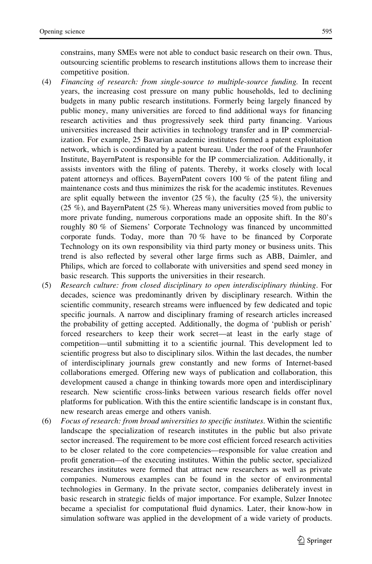constrains, many SMEs were not able to conduct basic research on their own. Thus, outsourcing scientific problems to research institutions allows them to increase their

- competitive position. (4) Financing of research: from single-source to multiple-source funding. In recent years, the increasing cost pressure on many public households, led to declining budgets in many public research institutions. Formerly being largely financed by public money, many universities are forced to find additional ways for financing research activities and thus progressively seek third party financing. Various universities increased their activities in technology transfer and in IP commercialization. For example, 25 Bavarian academic institutes formed a patent exploitation network, which is coordinated by a patent bureau. Under the roof of the Fraunhofer Institute, BayernPatent is responsible for the IP commercialization. Additionally, it assists inventors with the filing of patents. Thereby, it works closely with local patent attorneys and offices. BayernPatent covers 100 % of the patent filing and maintenance costs and thus minimizes the risk for the academic institutes. Revenues are split equally between the inventor  $(25 \%)$ , the faculty  $(25 \%)$ , the university (25 %), and BayernPatent (25 %). Whereas many universities moved from public to more private funding, numerous corporations made an opposite shift. In the 80's roughly 80 % of Siemens' Corporate Technology was financed by uncommitted corporate funds. Today, more than 70 % have to be financed by Corporate Technology on its own responsibility via third party money or business units. This trend is also reflected by several other large firms such as ABB, Daimler, and Philips, which are forced to collaborate with universities and spend seed money in basic research. This supports the universities in their research.
- (5) Research culture: from closed disciplinary to open interdisciplinary thinking. For decades, science was predominantly driven by disciplinary research. Within the scientific community, research streams were influenced by few dedicated and topic specific journals. A narrow and disciplinary framing of research articles increased the probability of getting accepted. Additionally, the dogma of 'publish or perish' forced researchers to keep their work secret—at least in the early stage of competition—until submitting it to a scientific journal. This development led to scientific progress but also to disciplinary silos. Within the last decades, the number of interdisciplinary journals grew constantly and new forms of Internet-based collaborations emerged. Offering new ways of publication and collaboration, this development caused a change in thinking towards more open and interdisciplinary research. New scientific cross-links between various research fields offer novel platforms for publication. With this the entire scientific landscape is in constant flux, new research areas emerge and others vanish.
- (6) Focus of research: from broad universities to specific institutes. Within the scientific landscape the specialization of research institutes in the public but also private sector increased. The requirement to be more cost efficient forced research activities to be closer related to the core competencies—responsible for value creation and profit generation—of the executing institutes. Within the public sector, specialized researches institutes were formed that attract new researchers as well as private companies. Numerous examples can be found in the sector of environmental technologies in Germany. In the private sector, companies deliberately invest in basic research in strategic fields of major importance. For example, Sulzer Innotec became a specialist for computational fluid dynamics. Later, their know-how in simulation software was applied in the development of a wide variety of products.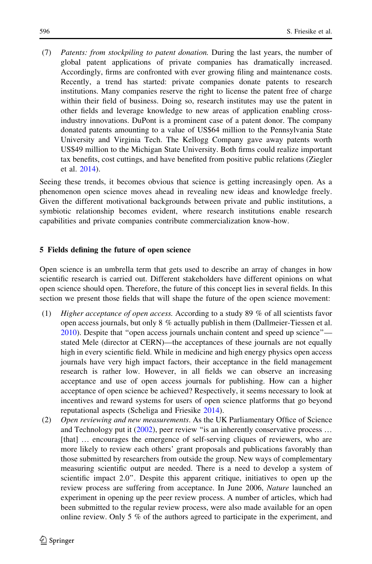<span id="page-15-0"></span>(7) Patents: from stockpiling to patent donation. During the last years, the number of global patent applications of private companies has dramatically increased. Accordingly, firms are confronted with ever growing filing and maintenance costs. Recently, a trend has started: private companies donate patents to research institutions. Many companies reserve the right to license the patent free of charge within their field of business. Doing so, research institutes may use the patent in other fields and leverage knowledge to new areas of application enabling crossindustry innovations. DuPont is a prominent case of a patent donor. The company donated patents amounting to a value of US\$64 million to the Pennsylvania State University and Virginia Tech. The Kellogg Company gave away patents worth US\$49 million to the Michigan State University. Both firms could realize important tax benefits, cost cuttings, and have benefited from positive public relations (Ziegler et al. [2014](#page-20-0)).

Seeing these trends, it becomes obvious that science is getting increasingly open. As a phenomenon open science moves ahead in revealing new ideas and knowledge freely. Given the different motivational backgrounds between private and public institutions, a symbiotic relationship becomes evident, where research institutions enable research capabilities and private companies contribute commercialization know-how.

## 5 Fields defining the future of open science

Open science is an umbrella term that gets used to describe an array of changes in how scientific research is carried out. Different stakeholders have different opinions on what open science should open. Therefore, the future of this concept lies in several fields. In this section we present those fields that will shape the future of the open science movement:

- (1) Higher acceptance of open access. According to a study 89 % of all scientists favor open access journals, but only  $8\%$  actually publish in them (Dallmeier-Tiessen et al. [2010\)](#page-18-0). Despite that ''open access journals unchain content and speed up science'' stated Mele (director at CERN)—the acceptances of these journals are not equally high in every scientific field. While in medicine and high energy physics open access journals have very high impact factors, their acceptance in the field management research is rather low. However, in all fields we can observe an increasing acceptance and use of open access journals for publishing. How can a higher acceptance of open science be achieved? Respectively, it seems necessary to look at incentives and reward systems for users of open science platforms that go beyond reputational aspects (Scheliga and Friesike [2014](#page-20-0)).
- (2) Open reviewing and new measurements. As the UK Parliamentary Office of Science and Technology put it [\(2002](#page-19-0)), peer review "is an inherently conservative process ... [that] ... encourages the emergence of self-serving cliques of reviewers, who are more likely to review each others' grant proposals and publications favorably than those submitted by researchers from outside the group. New ways of complementary measuring scientific output are needed. There is a need to develop a system of scientific impact 2.0''. Despite this apparent critique, initiatives to open up the review process are suffering from acceptance. In June 2006, Nature launched an experiment in opening up the peer review process. A number of articles, which had been submitted to the regular review process, were also made available for an open online review. Only 5 % of the authors agreed to participate in the experiment, and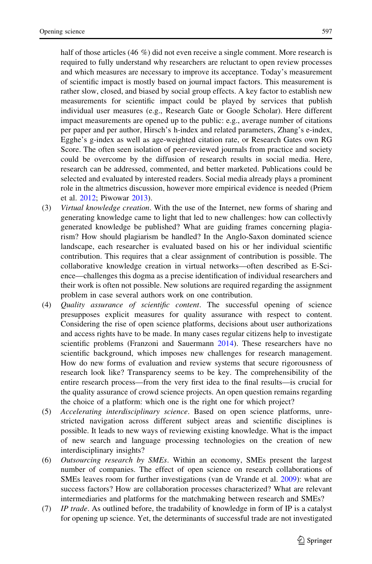half of those articles (46 %) did not even receive a single comment. More research is required to fully understand why researchers are reluctant to open review processes and which measures are necessary to improve its acceptance. Today's measurement of scientific impact is mostly based on journal impact factors. This measurement is rather slow, closed, and biased by social group effects. A key factor to establish new measurements for scientific impact could be played by services that publish individual user measures (e.g., Research Gate or Google Scholar). Here different impact measurements are opened up to the public: e.g., average number of citations per paper and per author, Hirsch's h-index and related parameters, Zhang's e-index, Egghe's g-index as well as age-weighted citation rate, or Research Gates own RG Score. The often seen isolation of peer-reviewed journals from practice and society could be overcome by the diffusion of research results in social media. Here, research can be addressed, commented, and better marketed. Publications could be selected and evaluated by interested readers. Social media already plays a prominent role in the altmetrics discussion, however more empirical evidence is needed (Priem et al. [2012](#page-20-0); Piwowar [2013\)](#page-20-0).

- (3) Virtual knowledge creation. With the use of the Internet, new forms of sharing and generating knowledge came to light that led to new challenges: how can collectivly generated knowledge be published? What are guiding frames concerning plagiarism? How should plagiarism be handled? In the Anglo-Saxon dominated science landscape, each researcher is evaluated based on his or her individual scientific contribution. This requires that a clear assignment of contribution is possible. The collaborative knowledge creation in virtual networks—often described as E-Science—challenges this dogma as a precise identification of individual researchers and their work is often not possible. New solutions are required regarding the assignment problem in case several authors work on one contribution.
- (4) Quality assurance of scientific content. The successful opening of science presupposes explicit measures for quality assurance with respect to content. Considering the rise of open science platforms, decisions about user authorizations and access rights have to be made. In many cases regular citizens help to investigate scientific problems (Franzoni and Sauermann [2014](#page-18-0)). These researchers have no scientific background, which imposes new challenges for research management. How do new forms of evaluation and review systems that secure rigorousness of research look like? Transparency seems to be key. The comprehensibility of the entire research process—from the very first idea to the final results—is crucial for the quality assurance of crowd science projects. An open question remains regarding the choice of a platform: which one is the right one for which project?
- (5) Accelerating interdisciplinary science. Based on open science platforms, unrestricted navigation across different subject areas and scientific disciplines is possible. It leads to new ways of reviewing existing knowledge. What is the impact of new search and language processing technologies on the creation of new interdisciplinary insights?
- (6) Outsourcing research by SMEs. Within an economy, SMEs present the largest number of companies. The effect of open science on research collaborations of SMEs leaves room for further investigations (van de Vrande et al. [2009\)](#page-20-0): what are success factors? How are collaboration processes characterized? What are relevant intermediaries and platforms for the matchmaking between research and SMEs?
- $(7)$  *IP trade.* As outlined before, the tradability of knowledge in form of IP is a catalyst for opening up science. Yet, the determinants of successful trade are not investigated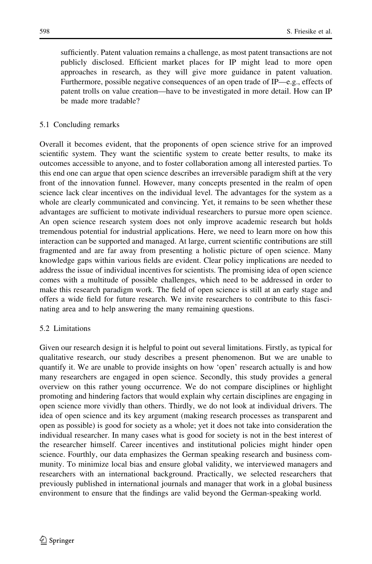sufficiently. Patent valuation remains a challenge, as most patent transactions are not publicly disclosed. Efficient market places for IP might lead to more open approaches in research, as they will give more guidance in patent valuation. Furthermore, possible negative consequences of an open trade of IP—e.g., effects of patent trolls on value creation—have to be investigated in more detail. How can IP be made more tradable?

# 5.1 Concluding remarks

Overall it becomes evident, that the proponents of open science strive for an improved scientific system. They want the scientific system to create better results, to make its outcomes accessible to anyone, and to foster collaboration among all interested parties. To this end one can argue that open science describes an irreversible paradigm shift at the very front of the innovation funnel. However, many concepts presented in the realm of open science lack clear incentives on the individual level. The advantages for the system as a whole are clearly communicated and convincing. Yet, it remains to be seen whether these advantages are sufficient to motivate individual researchers to pursue more open science. An open science research system does not only improve academic research but holds tremendous potential for industrial applications. Here, we need to learn more on how this interaction can be supported and managed. At large, current scientific contributions are still fragmented and are far away from presenting a holistic picture of open science. Many knowledge gaps within various fields are evident. Clear policy implications are needed to address the issue of individual incentives for scientists. The promising idea of open science comes with a multitude of possible challenges, which need to be addressed in order to make this research paradigm work. The field of open science is still at an early stage and offers a wide field for future research. We invite researchers to contribute to this fascinating area and to help answering the many remaining questions.

# 5.2 Limitations

Given our research design it is helpful to point out several limitations. Firstly, as typical for qualitative research, our study describes a present phenomenon. But we are unable to quantify it. We are unable to provide insights on how 'open' research actually is and how many researchers are engaged in open science. Secondly, this study provides a general overview on this rather young occurrence. We do not compare disciplines or highlight promoting and hindering factors that would explain why certain disciplines are engaging in open science more vividly than others. Thirdly, we do not look at individual drivers. The idea of open science and its key argument (making research processes as transparent and open as possible) is good for society as a whole; yet it does not take into consideration the individual researcher. In many cases what is good for society is not in the best interest of the researcher himself. Career incentives and institutional policies might hinder open science. Fourthly, our data emphasizes the German speaking research and business community. To minimize local bias and ensure global validity, we interviewed managers and researchers with an international background. Practically, we selected researchers that previously published in international journals and manager that work in a global business environment to ensure that the findings are valid beyond the German-speaking world.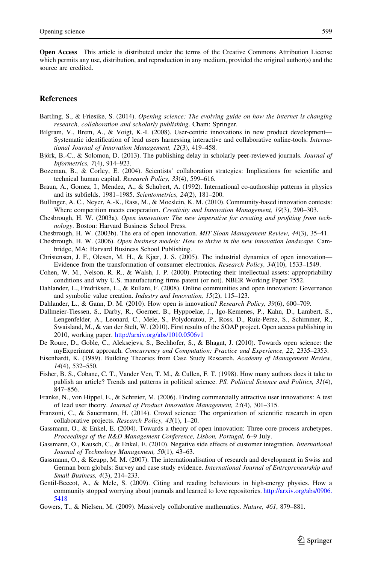#### <span id="page-18-0"></span>References

- Bartling, S., & Friesike, S. (2014). Opening science: The evolving guide on how the internet is changing research, collaboration and scholarly publishing. Cham: Springer.
- Bilgram, V., Brem, A., & Voigt, K.-I. (2008). User-centric innovations in new product development— Systematic identification of lead users harnessing interactive and collaborative online-tools. International Journal of Innovation Management, 12(3), 419–458.
- Björk, B.-C., & Solomon, D. (2013). The publishing delay in scholarly peer-reviewed journals. Journal of Informetrics, 7(4), 914–923.
- Bozeman, B., & Corley, E. (2004). Scientists' collaboration strategies: Implications for scientific and technical human capital. Research Policy, 33(4), 599–616.
- Braun, A., Gomez, I., Mendez, A., & Schubert, A. (1992). International co-authorship patterns in physics and its subfields, 1981–1985. Scientometrics, 24(2), 181–200.
- Bullinger, A. C., Neyer, A.-K., Rass, M., & Moeslein, K. M. (2010). Community-based innovation contests: Where competition meets cooperation. *Creativity and Innovation Management*, 19(3), 290–303.
- Chesbrough, H. W. (2003a). Open innovation: The new imperative for creating and profiting from technology. Boston: Harvard Business School Press.
- Chesbrough, H. W. (2003b). The era of open innovation. MIT Sloan Management Review, 44(3), 35–41.
- Chesbrough, H. W. (2006). Open business models: How to thrive in the new innovation landscape. Cambridge, MA: Harvard Business School Publishing.
- Christensen, J. F., Olesen, M. H., & Kjær, J. S. (2005). The industrial dynamics of open innovation— Evidence from the transformation of consumer electronics. Research Policy, 34(10), 1533–1549.
- Cohen, W. M., Nelson, R. R., & Walsh, J. P. (2000). Protecting their intellectual assets: appropriability conditions and why U.S. manufacturing firms patent (or not). NBER Working Paper 7552.
- Dahlander, L., Fredriksen, L., & Rullani, F. (2008). Online communities and open innovation: Governance and symbolic value creation. Industry and Innovation, 15(2), 115–123.
- Dahlander, L., & Gann, D. M. (2010). How open is innovation? Research Policy, 39(6), 600–709.
- Dallmeier-Tiessen, S., Darby, R., Goerner, B., Hyppoelae, J., Igo-Kemenes, P., Kahn, D., Lambert, S., Lengenfelder, A., Leonard, C., Mele, S., Polydoratou, P., Ross, D., Ruiz-Perez, S., Schimmer, R., Swaisland, M., & van der Stelt, W. (2010). First results of the SOAP project. Open access publishing in 2010, working paper. <http://arxiv.org/abs/1010.0506v1>
- De Roure, D., Goble, C., Aleksejevs, S., Bechhofer, S., & Bhagat, J. (2010). Towards open science: the myExperiment approach. Concurrency and Computation: Practice and Experience, 22, 2335–2353.
- Eisenhardt, K. (1989). Building Theories from Case Study Research. Academy of Management Review, 14(4), 532–550.
- Fisher, B. S., Cobane, C. T., Vander Ven, T. M., & Cullen, F. T. (1998). How many authors does it take to publish an article? Trends and patterns in political science. PS. Political Science and Politics, 31(4), 847–856.
- Franke, N., von Hippel, E., & Schreier, M. (2006). Finding commercially attractive user innovations: A test of lead user theory. Journal of Product Innovation Management, 23(4), 301–315.
- Franzoni, C., & Sauermann, H. (2014). Crowd science: The organization of scientific research in open collaborative projects. Research Policy, 43(1), 1–20.
- Gassmann, O., & Enkel, E. (2004). Towards a theory of open innovation: Three core process archetypes. Proceedings of the R&D Management Conference, Lisbon, Portugal, 6–9 July.
- Gassmann, O., Kausch, C., & Enkel, E. (2010). Negative side effects of customer integration. *International* Journal of Technology Management, 50(1), 43–63.
- Gassmann, O., & Keupp, M. M. (2007). The internationalisation of research and development in Swiss and German born globals: Survey and case study evidence. International Journal of Entrepreneurship and Small Business, 4(3), 214–233.
- Gentil-Beccot, A., & Mele, S. (2009). Citing and reading behaviours in high-energy physics. How a community stopped worrying about journals and learned to love repositories. [http://arxiv.org/abs/0906.](http://arxiv.org/abs/0906.5418) [5418](http://arxiv.org/abs/0906.5418)
- Gowers, T., & Nielsen, M. (2009). Massively collaborative mathematics. Nature, 461, 879–881.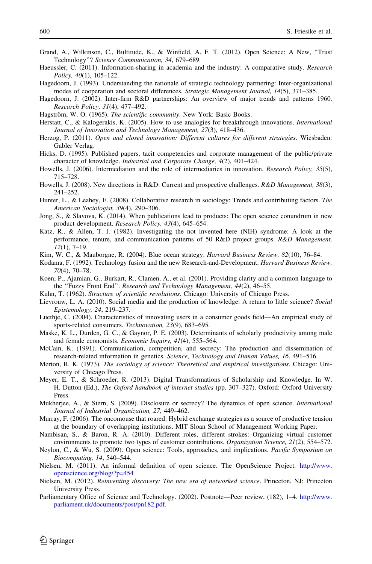- <span id="page-19-0"></span>Grand, A., Wilkinson, C., Bultitude, K., & Winfield, A. F. T. (2012). Open Science: A New, ''Trust Technology''? Science Communication, 34, 679–689.
- Haeussler, C. (2011). Information-sharing in academia and the industry: A comparative study. Research Policy, 40(1), 105–122.
- Hagedoorn, J. (1993). Understanding the rationale of strategic technology partnering: Inter-organizational modes of cooperation and sectoral differences. Strategic Management Journal, 14(5), 371–385.
- Hagedoorn, J. (2002). Inter-firm R&D partnerships: An overview of major trends and patterns 1960. Research Policy, 31(4), 477–492.
- Hagström, W. O. (1965). The scientific community. New York: Basic Books.
- Herstatt, C., & Kalogerakis, K. (2005). How to use analogies for breakthrough innovations. *International* Journal of Innovation and Technology Management, 27(3), 418–436.
- Herzog, P. (2011). Open and closed innovation: Different cultures for different strategies. Wiesbaden: Gabler Verlag.
- Hicks, D. (1995). Published papers, tacit competencies and corporate management of the public/private character of knowledge. Industrial and Corporate Change, 4(2), 401–424.
- Howells, J. (2006). Intermediation and the role of intermediaries in innovation. *Research Policy*, 35(5), 715–728.
- Howells, J. (2008). New directions in R&D: Current and prospective challenges. R&D Management, 38(3), 241–252.
- Hunter, L., & Leahey, E. (2008). Collaborative research in sociology: Trends and contributing factors. The American Sociologist, 39(4), 290–306.
- Jong, S., & Slavova, K. (2014). When publications lead to products: The open science conundrum in new product development. Research Policy, 43(4), 645–654.
- Katz, R., & Allen, T. J. (1982). Investigating the not invented here (NIH) syndrome: A look at the performance, tenure, and communication patterns of 50 R&D project groups. R&D Management, 12(1), 7–19.
- Kim, W. C., & Mauborgne, R. (2004). Blue ocean strategy. Harvard Business Review, 82(10), 76–84.
- Kodama, F. (1992). Technology fusion and the new Research-and-Development. *Harvard Business Review*, 70(4), 70–78.
- Koen, P., Ajamian, G., Burkart, R., Clamen, A., et al. (2001). Providing clarity and a common language to the "Fuzzy Front End". Research and Technology Management, 44(2), 46-55.
- Kuhn, T. (1962). Structure of scientific revolutions. Chicago: University of Chicago Press.
- Lievrouw, L. A. (2010). Social media and the production of knowledge: A return to little science? Social Epistemology, 24, 219–237.
- Luethje, C. (2004). Characteristics of innovating users in a consumer goods field—An empirical study of sports-related consumers. Technovation, 23(9), 683–695.
- Maske, K. L., Durden, G. C., & Gaynor, P. E. (2003). Determinants of scholarly productivity among male and female economists. Economic Inquiry, 41(4), 555–564.
- McCain, K. (1991). Communication, competition, and secrecy: The production and dissemination of research-related information in genetics. Science, Technology and Human Values, 16, 491–516.
- Merton, R. K. (1973). The sociology of science: Theoretical and empirical investigations. Chicago: University of Chicago Press.
- Meyer, E. T., & Schroeder, R. (2013). Digital Transformations of Scholarship and Knowledge. In W. H. Dutton (Ed.), The Oxford handbook of internet studies (pp. 307–327). Oxford: Oxford University Press.
- Mukherjee, A., & Stern, S. (2009). Disclosure or secrecy? The dynamics of open science. *International* Journal of Industrial Organization, 27, 449–462.
- Murray, F. (2006). The oncomouse that roared: Hybrid exchange strategies as a source of productive tension at the boundary of overlapping institutions. MIT Sloan School of Management Working Paper.
- Nambisan, S., & Baron, R. A. (2010). Different roles, different strokes: Organizing virtual customer environments to promote two types of customer contributions. Organization Science, 21(2), 554–572.
- Neylon, C., & Wu, S. (2009). Open science: Tools, approaches, and implications. *Pacific Symposium on* Biocomputing, 14, 540–544.
- Nielsen, M. (2011). An informal definition of open science. The OpenScience Project. [http://www.](http://www.openscience.org/blog/?p=454) [openscience.org/blog/?p=454](http://www.openscience.org/blog/?p=454)
- Nielsen, M. (2012). Reinventing discovery: The new era of networked science. Princeton, NJ: Princeton University Press.
- Parliamentary Office of Science and Technology. (2002). Postnote—Peer review, (182), 1–4. [http://www.](http://www.parliament.uk/documents/post/pn182.pdf) [parliament.uk/documents/post/pn182.pdf.](http://www.parliament.uk/documents/post/pn182.pdf)